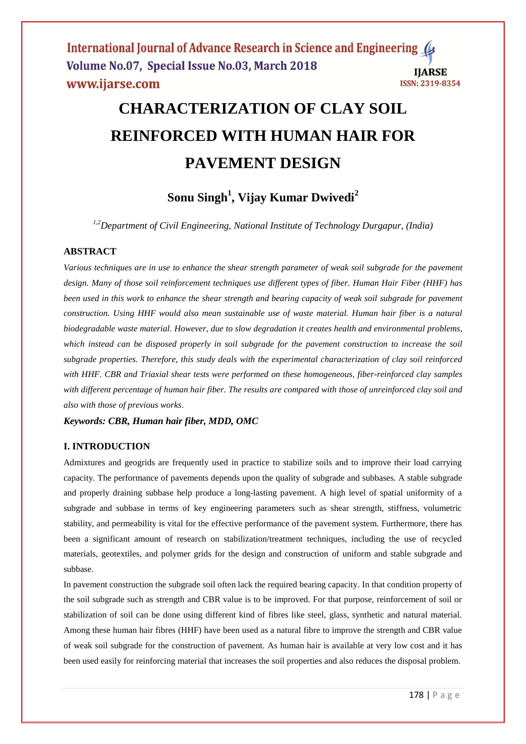# **CHARACTERIZATION OF CLAY SOIL REINFORCED WITH HUMAN HAIR FOR PAVEMENT DESIGN**

# **Sonu Singh<sup>1</sup> , Vijay Kumar Dwivedi<sup>2</sup>**

*1,2Department of Civil Engineering, National Institute of Technology Durgapur, (India)*

## **ABSTRACT**

*Various techniques are in use to enhance the shear strength parameter of weak soil subgrade for the pavement design. Many of those soil reinforcement techniques use different types of fiber. Human Hair Fiber (HHF) has been used in this work to enhance the shear strength and bearing capacity of weak soil subgrade for pavement construction. Using HHF would also mean sustainable use of waste material. Human hair fiber is a natural biodegradable waste material. However, due to slow degradation it creates health and environmental problems, which instead can be disposed properly in soil subgrade for the pavement construction to increase the soil subgrade properties. Therefore, this study deals with the experimental characterization of clay soil reinforced with HHF. CBR and Triaxial shear tests were performed on these homogeneous, fiber-reinforced clay samples with different percentage of human hair fiber. The results are compared with those of unreinforced clay soil and also with those of previous works*.

*Keywords: CBR, Human hair fiber, MDD, OMC*

#### **I. INTRODUCTION**

Admixtures and geogrids are frequently used in practice to stabilize soils and to improve their load carrying capacity. The performance of pavements depends upon the quality of subgrade and subbases. A stable subgrade and properly draining subbase help produce a long-lasting pavement. A high level of spatial uniformity of a subgrade and subbase in terms of key engineering parameters such as shear strength, stiffness, volumetric stability, and permeability is vital for the effective performance of the pavement system. Furthermore, there has been a significant amount of research on stabilization/treatment techniques, including the use of recycled materials, geotextiles, and polymer grids for the design and construction of uniform and stable subgrade and subbase.

In pavement construction the subgrade soil often lack the required bearing capacity. In that condition property of the soil subgrade such as strength and CBR value is to be improved. For that purpose, reinforcement of soil or stabilization of soil can be done using different kind of fibres like steel, glass, synthetic and natural material. Among these human hair fibres (HHF) have been used as a natural fibre to improve the strength and CBR value of weak soil subgrade for the construction of pavement. As human hair is available at very low cost and it has been used easily for reinforcing material that increases the soil properties and also reduces the disposal problem.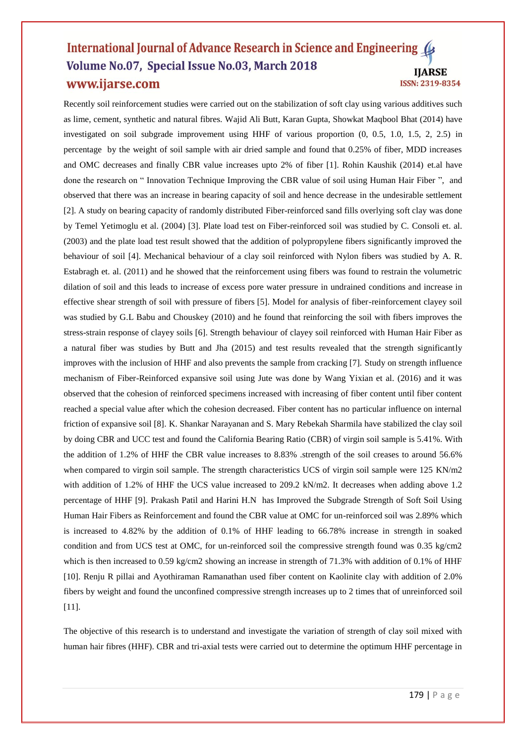Recently soil reinforcement studies were carried out on the stabilization of soft clay using various additives such as lime, cement, synthetic and natural fibres. Wajid Ali Butt, Karan Gupta, Showkat Maqbool Bhat (2014) have investigated on soil subgrade improvement using HHF of various proportion (0, 0.5, 1.0, 1.5, 2, 2.5) in percentage by the weight of soil sample with air dried sample and found that 0.25% of fiber, MDD increases and OMC decreases and finally CBR value increases upto 2% of fiber [1]. Rohin Kaushik (2014) et.al have done the research on " Innovation Technique Improving the CBR value of soil using Human Hair Fiber ", and observed that there was an increase in bearing capacity of soil and hence decrease in the undesirable settlement [2]. A study on bearing capacity of randomly distributed Fiber-reinforced sand fills overlying soft clay was done by Temel Yetimoglu et al. (2004) [3]. Plate load test on Fiber-reinforced soil was studied by C. Consoli et. al. (2003) and the plate load test result showed that the addition of polypropylene fibers significantly improved the behaviour of soil [4]. Mechanical behaviour of a clay soil reinforced with Nylon fibers was studied by A. R. Estabragh et. al. (2011) and he showed that the reinforcement using fibers was found to restrain the volumetric dilation of soil and this leads to increase of excess pore water pressure in undrained conditions and increase in effective shear strength of soil with pressure of fibers [5]. Model for analysis of fiber-reinforcement clayey soil was studied by G.L Babu and Chouskey (2010) and he found that reinforcing the soil with fibers improves the stress-strain response of clayey soils [6]. Strength behaviour of clayey soil reinforced with Human Hair Fiber as a natural fiber was studies by Butt and Jha (2015) and test results revealed that the strength significantly improves with the inclusion of HHF and also prevents the sample from cracking [7]. Study on strength influence mechanism of Fiber-Reinforced expansive soil using Jute was done by Wang Yixian et al. (2016) and it was observed that the cohesion of reinforced specimens increased with increasing of fiber content until fiber content reached a special value after which the cohesion decreased. Fiber content has no particular influence on internal friction of expansive soil [8]. K. Shankar Narayanan and S. Mary Rebekah Sharmila have stabilized the clay soil by doing CBR and UCC test and found the California Bearing Ratio (CBR) of virgin soil sample is 5.41%. With the addition of 1.2% of HHF the CBR value increases to 8.83% .strength of the soil creases to around 56.6% when compared to virgin soil sample. The strength characteristics UCS of virgin soil sample were 125 KN/m2 with addition of 1.2% of HHF the UCS value increased to 209.2 kN/m2. It decreases when adding above 1.2 percentage of HHF [9]. Prakash Patil and Harini H.N has Improved the Subgrade Strength of Soft Soil Using Human Hair Fibers as Reinforcement and found the CBR value at OMC for un-reinforced soil was 2.89% which is increased to 4.82% by the addition of 0.1% of HHF leading to 66.78% increase in strength in soaked condition and from UCS test at OMC, for un-reinforced soil the compressive strength found was 0.35 kg/cm2 which is then increased to 0.59 kg/cm2 showing an increase in strength of 71.3% with addition of 0.1% of HHF [10]. Renju R pillai and Ayothiraman Ramanathan used fiber content on Kaolinite clay with addition of 2.0% fibers by weight and found the unconfined compressive strength increases up to 2 times that of unreinforced soil [11].

The objective of this research is to understand and investigate the variation of strength of clay soil mixed with human hair fibres (HHF). CBR and tri-axial tests were carried out to determine the optimum HHF percentage in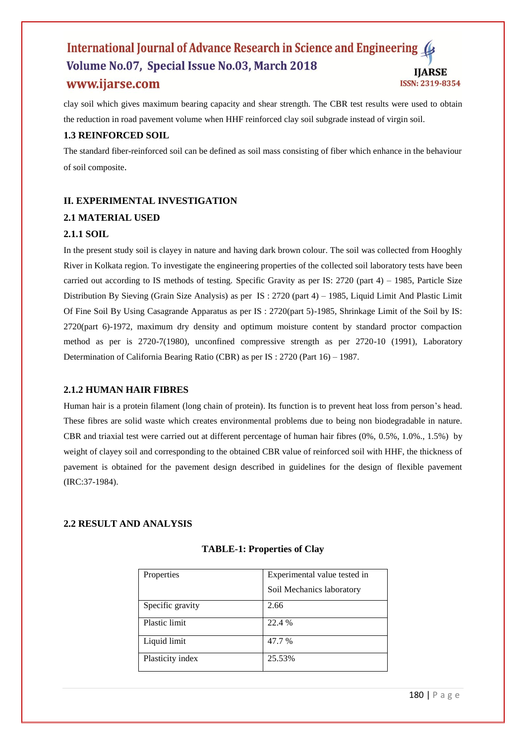clay soil which gives maximum bearing capacity and shear strength. The CBR test results were used to obtain the reduction in road pavement volume when HHF reinforced clay soil subgrade instead of virgin soil.

## **1.3 REINFORCED SOIL**

The standard fiber-reinforced soil can be defined as soil mass consisting of fiber which enhance in the behaviour of soil composite.

# **II. EXPERIMENTAL INVESTIGATION**

# **2.1 MATERIAL USED**

## **2.1.1 SOIL**

In the present study soil is clayey in nature and having dark brown colour. The soil was collected from Hooghly River in Kolkata region. To investigate the engineering properties of the collected soil laboratory tests have been carried out according to IS methods of testing. Specific Gravity as per IS: 2720 (part 4) – 1985, Particle Size Distribution By Sieving (Grain Size Analysis) as per IS : 2720 (part 4) – 1985, Liquid Limit And Plastic Limit Of Fine Soil By Using Casagrande Apparatus as per IS : 2720(part 5)-1985, Shrinkage Limit of the Soil by IS: 2720(part 6)-1972, maximum dry density and optimum moisture content by standard proctor compaction method as per is 2720-7(1980), unconfined compressive strength as per 2720-10 (1991), Laboratory Determination of California Bearing Ratio (CBR) as per IS : 2720 (Part 16) – 1987.

## **2.1.2 HUMAN HAIR FIBRES**

Human hair is a protein filament (long chain of protein). Its function is to prevent heat loss from person's head. These fibres are solid waste which creates environmental problems due to being non biodegradable in nature. CBR and triaxial test were carried out at different percentage of human hair fibres (0%, 0.5%, 1.0%., 1.5%) by weight of clayey soil and corresponding to the obtained CBR value of reinforced soil with HHF, the thickness of pavement is obtained for the pavement design described in guidelines for the design of flexible pavement (IRC:37-1984).

# **2.2 RESULT AND ANALYSIS**

| Properties       | Experimental value tested in |  |
|------------------|------------------------------|--|
|                  | Soil Mechanics laboratory    |  |
| Specific gravity | 2.66                         |  |
| Plastic limit    | 22.4 %                       |  |
| Liquid limit     | 47.7 %                       |  |
| Plasticity index | 25.53%                       |  |

## **TABLE-1: Properties of Clay**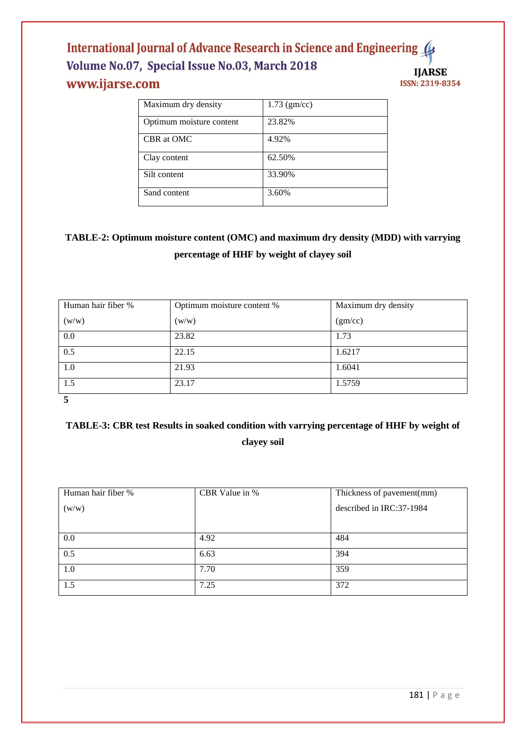| Maximum dry density      | $1.73 \, (gm/cc)$ |
|--------------------------|-------------------|
| Optimum moisture content | 23.82%            |
| CBR at OMC               | 4.92%             |
| Clay content             | 62.50%            |
| Silt content             | 33.90%            |
| Sand content             | 3.60%             |

# **TABLE-2: Optimum moisture content (OMC) and maximum dry density (MDD) with varrying percentage of HHF by weight of clayey soil**

| Human hair fiber % | Optimum moisture content % | Maximum dry density |  |
|--------------------|----------------------------|---------------------|--|
| (w/w)              | (w/w)                      | (gm/cc)             |  |
| 0.0                | 23.82                      | 1.73                |  |
| 0.5                | 22.15                      | 1.6217              |  |
| 1.0                | 21.93                      | 1.6041              |  |
| 1.5                | 23.17                      | 1.5759              |  |
|                    |                            |                     |  |

# **TABLE-3: CBR test Results in soaked condition with varrying percentage of HHF by weight of clayey soil**

| Human hair fiber % | CBR Value in % | Thickness of pavement(mm) |  |
|--------------------|----------------|---------------------------|--|
| (w/w)              |                | described in IRC:37-1984  |  |
|                    |                |                           |  |
| 0.0                | 4.92           | 484                       |  |
| 0.5                | 6.63           | 394                       |  |
| 1.0                | 7.70           | 359                       |  |
| 1.5                | 7.25           | 372                       |  |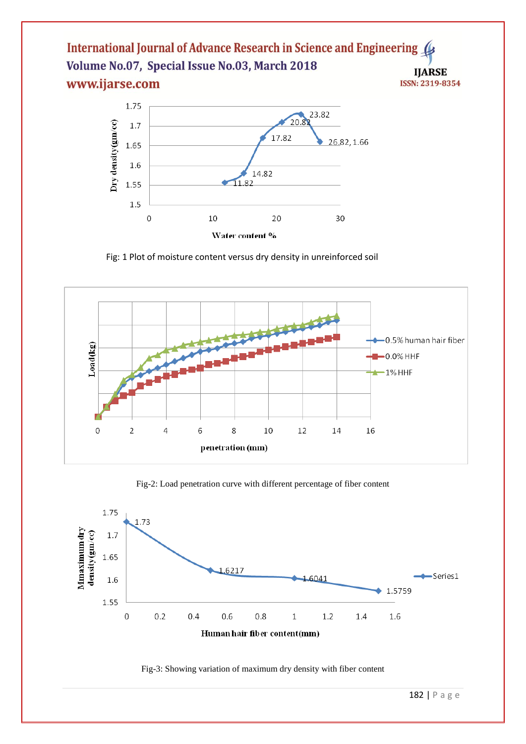

Fig: 1 Plot of moisture content versus dry density in unreinforced soil



Fig-2: Load penetration curve with different percentage of fiber content



Fig-3: Showing variation of maximum dry density with fiber content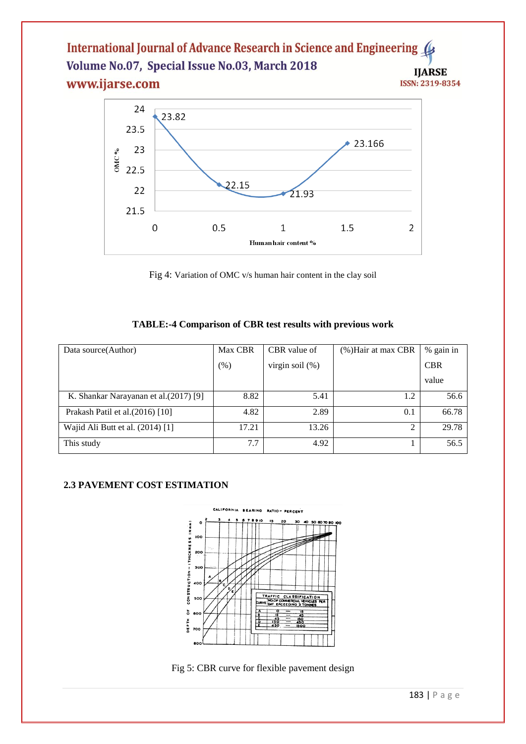

Fig 4: Variation of OMC v/s human hair content in the clay soil

# **TABLE:-4 Comparison of CBR test results with previous work**

| Data source (Author)                   | Max CBR | CBR value of       | (%) Hair at max CBR | % gain in  |
|----------------------------------------|---------|--------------------|---------------------|------------|
|                                        | $(\%)$  | virgin soil $(\%)$ |                     | <b>CBR</b> |
|                                        |         |                    |                     | value      |
| K. Shankar Narayanan et al. (2017) [9] | 8.82    | 5.41               | 1.2                 | 56.6       |
| Prakash Patil et al. (2016) [10]       | 4.82    | 2.89               | 0.1                 | 66.78      |
| Wajid Ali Butt et al. $(2014)$ [1]     | 17.21   | 13.26              | ◠                   | 29.78      |
| This study                             | 7.7     | 4.92               |                     | 56.5       |

# **2.3 PAVEMENT COST ESTIMATION**



Fig 5: CBR curve for flexible pavement design